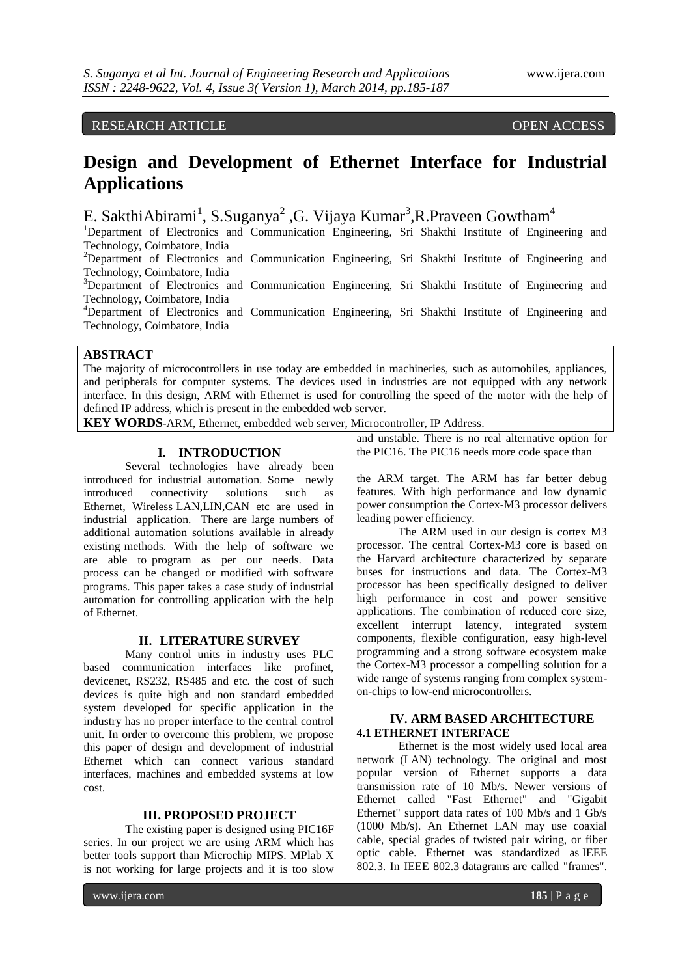## RESEARCH ARTICLE OPEN ACCESS

# **Design and Development of Ethernet Interface for Industrial Applications**

E. SakthiAbirami<sup>1</sup>, S.Suganya<sup>2</sup>, G. Vijaya Kumar<sup>3</sup>, R.Praveen Gowtham<sup>4</sup>

<sup>1</sup>Department of Electronics and Communication Engineering, Sri Shakthi Institute of Engineering and Technology, Coimbatore, India <sup>2</sup>Department of Electronics and Communication Engineering, Sri Shakthi Institute of Engineering and Technology, Coimbatore, India <sup>3</sup>Department of Electronics and Communication Engineering, Sri Shakthi Institute of Engineering and Technology, Coimbatore, India

<sup>4</sup>Department of Electronics and Communication Engineering, Sri Shakthi Institute of Engineering and Technology, Coimbatore, India

### **ABSTRACT**

The majority of microcontrollers in use today are embedded in machineries, such as automobiles, appliances, and peripherals for computer systems. The devices used in industries are not equipped with any network interface. In this design, ARM with Ethernet is used for controlling the speed of the motor with the help of defined IP address, which is present in the embedded web server.

**KEY WORDS**-ARM, Ethernet, embedded web server, Microcontroller, IP Address.

### **I. INTRODUCTION**

Several technologies have already been introduced for industrial automation. Some newly introduced connectivity solutions such as Ethernet, Wireless LAN,LIN,CAN etc are used in industrial application. There are large numbers of additional automation solutions available in already existing methods. With the help of software we are able to program as per our needs. Data process can be changed or modified with software programs. This paper takes a case study of industrial automation for controlling application with the help of Ethernet.

### **II. LITERATURE SURVEY**

Many control units in industry uses PLC based communication interfaces like profinet, devicenet, RS232, RS485 and etc. the cost of such devices is quite high and non standard embedded system developed for specific application in the industry has no proper interface to the central control unit. In order to overcome this problem, we propose this paper of design and development of industrial Ethernet which can connect various standard interfaces, machines and embedded systems at low cost.

### **III. PROPOSED PROJECT**

The existing paper is designed using PIC16F series. In our project we are using ARM which has better tools support than Microchip MIPS. MPlab X is not working for large projects and it is too slow

and unstable. There is no real alternative option for the PIC16. The PIC16 needs more code space than

the ARM target. The ARM has far better debug features. With high performance and low dynamic power consumption the Cortex-M3 processor delivers leading power efficiency.

The ARM used in our design is cortex M3 processor. The central Cortex-M3 core is based on the Harvard architecture characterized by separate buses for instructions and data. The Cortex-M3 processor has been specifically designed to deliver high performance in cost and power sensitive applications. The combination of reduced core size, excellent interrupt latency, integrated system components, flexible configuration, easy high-level programming and a strong software ecosystem make the Cortex-M3 processor a compelling solution for a wide range of systems ranging from complex systemon-chips to low-end microcontrollers.

### **IV. ARM BASED ARCHITECTURE 4.1 ETHERNET INTERFACE**

Ethernet is the most widely used local area network (LAN) technology. The original and most popular version of Ethernet supports a data transmission rate of 10 Mb/s. Newer versions of Ethernet called "Fast Ethernet" and "Gigabit Ethernet" support data rates of 100 Mb/s and 1 Gb/s (1000 Mb/s). An Ethernet LAN may use coaxial cable, special grades of twisted pair wiring, or fiber optic cable. Ethernet was standardized as [IEEE](http://en.wikipedia.org/wiki/IEEE_802.3)  [802.3.](http://en.wikipedia.org/wiki/IEEE_802.3) In IEEE 802.3 [datagrams](http://en.wikipedia.org/wiki/Datagram) are called "frames".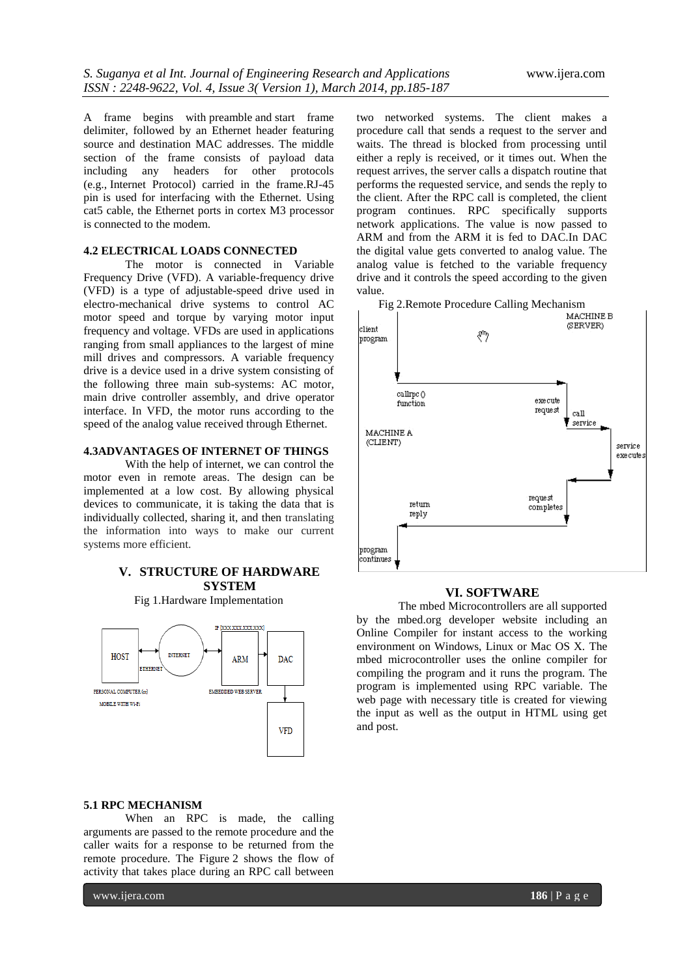A frame begins with [preamble](http://en.wikipedia.org/wiki/Preamble_(communication)) and [start frame](http://en.wikipedia.org/wiki/Start_frame_delimiter)  [delimiter,](http://en.wikipedia.org/wiki/Start_frame_delimiter) followed by an Ethernet header featuring source and destination MAC addresses. The middle section of the frame consists of payload data including any headers for other protocols (e.g., [Internet Protocol\)](http://en.wikipedia.org/wiki/Internet_Protocol) carried in the frame.RJ-45 pin is used for interfacing with the Ethernet. Using cat5 cable, the Ethernet ports in cortex M3 processor is connected to the modem.

### **4.2 ELECTRICAL LOADS CONNECTED**

The motor is connected in Variable Frequency Drive (VFD). A variable-frequency drive (VFD) is a type of [adjustable-speed drive](http://en.wikipedia.org/wiki/Adjustable-speed_drive) used in [electro-mechanical](http://en.wikipedia.org/wiki/Electro-mechanical) drive systems to control [AC](http://en.wikipedia.org/wiki/AC_motor)  [motor](http://en.wikipedia.org/wiki/AC_motor) [speed](http://en.wikipedia.org/wiki/Speed) and [torque](http://en.wikipedia.org/wiki/Torque) by varying motor input [frequency](http://en.wikipedia.org/wiki/Frequency) and [voltage.](http://en.wikipedia.org/wiki/Voltage) VFDs are used in applications ranging from small appliances to the largest of mine mill drives and compressors. A variable frequency drive is a device used in a drive system consisting of the following three main sub-systems: AC motor, main drive [controller](http://en.wikipedia.org/wiki/Controller_%28control_theory%29) assembly, and drive operator interface. In VFD, the motor runs according to the speed of the analog value received through Ethernet.

### **4.3ADVANTAGES OF INTERNET OF THINGS**

With the help of internet, we can control the motor even in remote areas. The design can be implemented at a low cost. By allowing physical devices to communicate, it is taking the data that is individually collected, sharing it, and then translating the information into ways to make our current systems more efficient.

### **V. STRUCTURE OF HARDWARE SYSTEM**

Fig 1.Hardware Implementation



two networked systems. The client makes a procedure call that sends a request to the server and waits. The thread is blocked from processing until either a reply is received, or it times out. When the request arrives, the server calls a dispatch routine that performs the requested service, and sends the reply to the client. After the RPC call is completed, the client program continues. RPC specifically supports network applications. The value is now passed to ARM and from the ARM it is fed to DAC.In DAC the digital value gets converted to analog value. The analog value is fetched to the variable frequency drive and it controls the speed according to the given value.



### **VI. SOFTWARE**

The mbed Microcontrollers are all supported by the mbed.org developer website including an Online Compiler for instant access to the working environment on Windows, Linux or Mac OS X. The mbed microcontroller uses the online compiler for compiling the program and it runs the program. The program is implemented using RPC variable. The web page with necessary title is created for viewing the input as well as the output in HTML using get and post.

### **5.1 RPC MECHANISM**

When an RPC is made, the calling arguments are passed to the remote procedure and the caller waits for a response to be returned from the remote procedure. The Figure 2 shows the flow of activity that takes place during an RPC call between